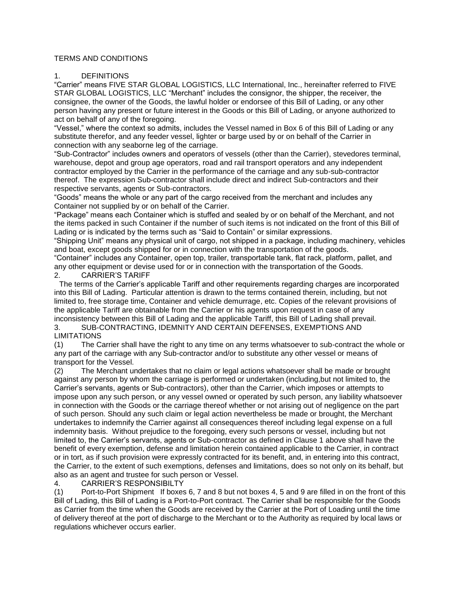## TERMS AND CONDITIONS

### 1. DEFINITIONS

"Carrier" means FIVE STAR GLOBAL LOGISTICS, LLC International, Inc., hereinafter referred to FIVE STAR GLOBAL LOGISTICS, LLC "Merchant" includes the consignor, the shipper, the receiver, the consignee, the owner of the Goods, the lawful holder or endorsee of this Bill of Lading, or any other person having any present or future interest in the Goods or this Bill of Lading, or anyone authorized to act on behalf of any of the foregoing.

"Vessel," where the context so admits, includes the Vessel named in Box 6 of this Bill of Lading or any substitute therefor, and any feeder vessel, lighter or barge used by or on behalf of the Carrier in connection with any seaborne leg of the carriage.

"Sub-Contractor" includes owners and operators of vessels (other than the Carrier), stevedores terminal, warehouse, depot and group age operators, road and rail transport operators and any independent contractor employed by the Carrier in the performance of the carriage and any sub-sub-contractor thereof. The expression Sub-contractor shall include direct and indirect Sub-contractors and their respective servants, agents or Sub-contractors.

"Goods" means the whole or any part of the cargo received from the merchant and includes any Container not supplied by or on behalf of the Carrier.

"Package" means each Container which is stuffed and sealed by or on behalf of the Merchant, and not the items packed in such Container if the number of such items is not indicated on the front of this Bill of Lading or is indicated by the terms such as "Said to Contain" or similar expressions.

"Shipping Unit" means any physical unit of cargo, not shipped in a package, including machinery, vehicles and boat, except goods shipped for or in connection with the transportation of the goods.

"Container" includes any Container, open top, trailer, transportable tank, flat rack, platform, pallet, and any other equipment or devise used for or in connection with the transportation of the Goods.

# 2. CARRIER'S TARIFF

The terms of the Carrier's applicable Tariff and other requirements regarding charges are incorporated into this Bill of Lading. Particular attention is drawn to the terms contained therein, including, but not limited to, free storage time, Container and vehicle demurrage, etc. Copies of the relevant provisions of the applicable Tariff are obtainable from the Carrier or his agents upon request in case of any inconsistency between this Bill of Lading and the applicable Tariff, this Bill of Lading shall prevail.

3. SUB-CONTRACTING, IDEMNITY AND CERTAIN DEFENSES, EXEMPTIONS AND LIMITATIONS

(1) The Carrier shall have the right to any time on any terms whatsoever to sub-contract the whole or any part of the carriage with any Sub-contractor and/or to substitute any other vessel or means of transport for the Vessel.

(2) The Merchant undertakes that no claim or legal actions whatsoever shall be made or brought against any person by whom the carriage is performed or undertaken (including,but not limited to, the Carrier's servants, agents or Sub-contractors), other than the Carrier, which imposes or attempts to impose upon any such person, or any vessel owned or operated by such person, any liability whatsoever in connection with the Goods or the carriage thereof whether or not arising out of negligence on the part of such person. Should any such claim or legal action nevertheless be made or brought, the Merchant undertakes to indemnify the Carrier against all consequences thereof including legal expense on a full indemnity basis. Without prejudice to the foregoing, every such persons or vessel, including but not limited to, the Carrier's servants, agents or Sub-contractor as defined in Clause 1 above shall have the benefit of every exemption, defense and limitation herein contained applicable to the Carrier, in contract or in tort, as if such provision were expressly contracted for its benefit, and, in entering into this contract, the Carrier, to the extent of such exemptions, defenses and limitations, does so not only on its behalf, but also as an agent and trustee for such person or Vessel.

### 4. CARRIER'S RESPONSIBILTY

(1) Port-to-Port Shipment If boxes 6, 7 and 8 but not boxes 4, 5 and 9 are filled in on the front of this Bill of Lading, this Bill of Lading is a Port-to-Port contract. The Carrier shall be responsible for the Goods as Carrier from the time when the Goods are received by the Carrier at the Port of Loading until the time of delivery thereof at the port of discharge to the Merchant or to the Authority as required by local laws or regulations whichever occurs earlier.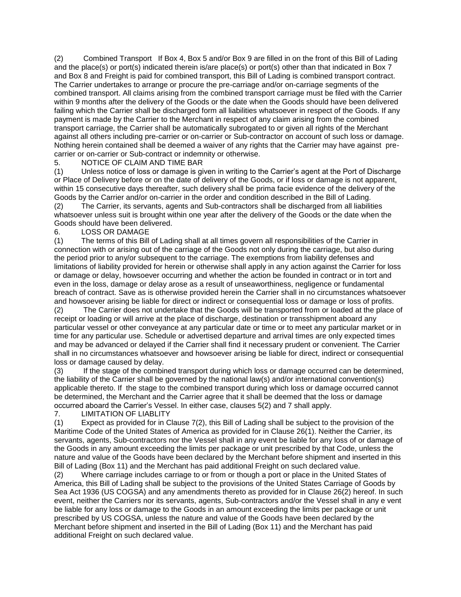(2) Combined Transport If Box 4, Box 5 and/or Box 9 are filled in on the front of this Bill of Lading and the place(s) or port(s) indicated therein is/are place(s) or port(s) other than that indicated in Box 7 and Box 8 and Freight is paid for combined transport, this Bill of Lading is combined transport contract. The Carrier undertakes to arrange or procure the pre-carriage and/or on-carriage segments of the combined transport. All claims arising from the combined transport carriage must be filed with the Carrier within 9 months after the delivery of the Goods or the date when the Goods should have been delivered failing which the Carrier shall be discharged form all liabilities whatsoever in respect of the Goods. If any payment is made by the Carrier to the Merchant in respect of any claim arising from the combined transport carriage, the Carrier shall be automatically subrogated to or given all rights of the Merchant against all others including pre-carrier or on-carrier or Sub-contractor on account of such loss or damage. Nothing herein contained shall be deemed a waiver of any rights that the Carrier may have against precarrier or on-carrier or Sub-contract or indemnity or otherwise.

# 5. NOTICE OF CLAIM AND TIME BAR

(1) Unless notice of loss or damage is given in writing to the Carrier's agent at the Port of Discharge or Place of Delivery before or on the date of delivery of the Goods, or if loss or damage is not apparent, within 15 consecutive days thereafter, such delivery shall be prima facie evidence of the delivery of the Goods by the Carrier and/or on-carrier in the order and condition described in the Bill of Lading.

(2) The Carrier, its servants, agents and Sub-contractors shall be discharged from all liabilities whatsoever unless suit is brought within one year after the delivery of the Goods or the date when the Goods should have been delivered.

6. LOSS OR DAMAGE

(1) The terms of this Bill of Lading shall at all times govern all responsibilities of the Carrier in connection with or arising out of the carriage of the Goods not only during the carriage, but also during the period prior to any/or subsequent to the carriage. The exemptions from liability defenses and limitations of liability provided for herein or otherwise shall apply in any action against the Carrier for loss or damage or delay, howsoever occurring and whether the action be founded in contract or in tort and even in the loss, damage or delay arose as a result of unseaworthiness, negligence or fundamental breach of contract. Save as is otherwise provided herein the Carrier shall in no circumstances whatsoever and howsoever arising be liable for direct or indirect or consequential loss or damage or loss of profits.

(2) The Carrier does not undertake that the Goods will be transported from or loaded at the place of receipt or loading or will arrive at the place of discharge, destination or transshipment aboard any particular vessel or other conveyance at any particular date or time or to meet any particular market or in time for any particular use. Schedule or advertised departure and arrival times are only expected times and may be advanced or delayed if the Carrier shall find it necessary prudent or convenient. The Carrier shall in no circumstances whatsoever and howsoever arising be liable for direct, indirect or consequential loss or damage caused by delay.

(3) If the stage of the combined transport during which loss or damage occurred can be determined, the liability of the Carrier shall be governed by the national law(s) and/or international convention(s) applicable thereto. If the stage to the combined transport during which loss or damage occurred cannot be determined, the Merchant and the Carrier agree that it shall be deemed that the loss or damage occurred aboard the Carrier's Vessel. In either case, clauses 5(2) and 7 shall apply.

## 7. LIMITATION OF LIABLITY

(1) Expect as provided for in Clause 7(2), this Bill of Lading shall be subject to the provision of the Maritime Code of the United States of America as provided for in Clause 26(1). Neither the Carrier, its servants, agents, Sub-contractors nor the Vessel shall in any event be liable for any loss of or damage of the Goods in any amount exceeding the limits per package or unit prescribed by that Code, unless the nature and value of the Goods have been declared by the Merchant before shipment and inserted in this Bill of Lading (Box 11) and the Merchant has paid additional Freight on such declared value.

(2) Where carriage includes carriage to or from or though a port or place in the United States of America, this Bill of Lading shall be subject to the provisions of the United States Carriage of Goods by Sea Act 1936 (US COGSA) and any amendments thereto as provided for in Clause 26(2) hereof. In such event, neither the Carriers nor its servants, agents, Sub-contractors and/or the Vessel shall in any e vent be liable for any loss or damage to the Goods in an amount exceeding the limits per package or unit prescribed by US COGSA, unless the nature and value of the Goods have been declared by the Merchant before shipment and inserted in the Bill of Lading (Box 11) and the Merchant has paid additional Freight on such declared value.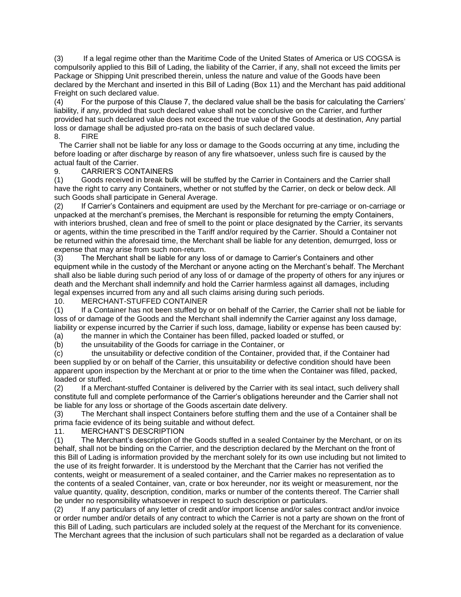(3) If a legal regime other than the Maritime Code of the United States of America or US COGSA is compulsorily applied to this Bill of Lading, the liability of the Carrier, if any, shall not exceed the limits per Package or Shipping Unit prescribed therein, unless the nature and value of the Goods have been declared by the Merchant and inserted in this Bill of Lading (Box 11) and the Merchant has paid additional Freight on such declared value.

(4) For the purpose of this Clause 7, the declared value shall be the basis for calculating the Carriers' liability, if any, provided that such declared value shall not be conclusive on the Carrier, and further provided hat such declared value does not exceed the true value of the Goods at destination, Any partial loss or damage shall be adjusted pro-rata on the basis of such declared value. 8. FIRE

The Carrier shall not be liable for any loss or damage to the Goods occurring at any time, including the before loading or after discharge by reason of any fire whatsoever, unless such fire is caused by the actual fault of the Carrier.

## 9. CARRIER'S CONTAINERS

(1) Goods received in break bulk will be stuffed by the Carrier in Containers and the Carrier shall have the right to carry any Containers, whether or not stuffed by the Carrier, on deck or below deck. All such Goods shall participate in General Average.

(2) If Carrier's Containers and equipment are used by the Merchant for pre-carriage or on-carriage or unpacked at the merchant's premises, the Merchant is responsible for returning the empty Containers, with interiors brushed, clean and free of smell to the point or place designated by the Carrier, its servants or agents, within the time prescribed in the Tariff and/or required by the Carrier. Should a Container not be returned within the aforesaid time, the Merchant shall be liable for any detention, demurrged, loss or expense that may arise from such non-return.

(3) The Merchant shall be liable for any loss of or damage to Carrier's Containers and other equipment while in the custody of the Merchant or anyone acting on the Merchant's behalf. The Merchant shall also be liable during such period of any loss of or damage of the property of others for any injures or death and the Merchant shall indemnify and hold the Carrier harmless against all damages, including legal expenses incurred from any and all such claims arising during such periods.

10. MERCHANT-STUFFED CONTAINER

(1) If a Container has not been stuffed by or on behalf of the Carrier, the Carrier shall not be liable for loss of or damage of the Goods and the Merchant shall indemnify the Carrier against any loss damage, liability or expense incurred by the Carrier if such loss, damage, liability or expense has been caused by:

(a) the manner in which the Container has been filled, packed loaded or stuffed, or

(b) the unsuitability of the Goods for carriage in the Container, or

(c) the unsuitability or defective condition of the Container, provided that, if the Container had been supplied by or on behalf of the Carrier, this unsuitability or defective condition should have been apparent upon inspection by the Merchant at or prior to the time when the Container was filled, packed, loaded or stuffed.

(2) If a Merchant-stuffed Container is delivered by the Carrier with its seal intact, such delivery shall constitute full and complete performance of the Carrier's obligations hereunder and the Carrier shall not be liable for any loss or shortage of the Goods ascertain date delivery.

(3) The Merchant shall inspect Containers before stuffing them and the use of a Container shall be prima facie evidence of its being suitable and without defect.

11. MERCHANT'S DESCRIPTION

(1) The Merchant's description of the Goods stuffed in a sealed Container by the Merchant, or on its behalf, shall not be binding on the Carrier, and the description declared by the Merchant on the front of this Bill of Lading is information provided by the merchant solely for its own use including but not limited to the use of its freight forwarder. It is understood by the Merchant that the Carrier has not verified the contents, weight or measurement of a sealed container, and the Carrier makes no representation as to the contents of a sealed Container, van, crate or box hereunder, nor its weight or measurement, nor the value quantity, quality, description, condition, marks or number of the contents thereof. The Carrier shall be under no responsibility whatsoever in respect to such description or particulars.

(2) If any particulars of any letter of credit and/or import license and/or sales contract and/or invoice or order number and/or details of any contract to which the Carrier is not a party are shown on the front of this Bill of Lading, such particulars are included solely at the request of the Merchant for its convenience. The Merchant agrees that the inclusion of such particulars shall not be regarded as a declaration of value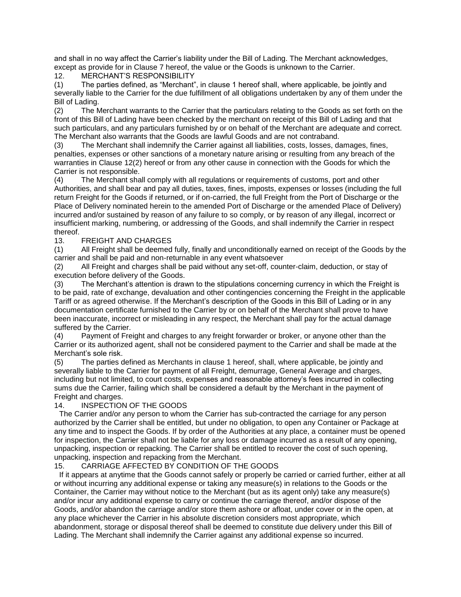and shall in no way affect the Carrier's liability under the Bill of Lading. The Merchant acknowledges, except as provide for in Clause 7 hereof, the value or the Goods is unknown to the Carrier.

# 12. MERCHANT'S RESPONSIBILITY

(1) The parties defined, as "Merchant", in clause 1 hereof shall, where applicable, be jointly and severally liable to the Carrier for the due fulfillment of all obligations undertaken by any of them under the Bill of Lading.

(2) The Merchant warrants to the Carrier that the particulars relating to the Goods as set forth on the front of this Bill of Lading have been checked by the merchant on receipt of this Bill of Lading and that such particulars, and any particulars furnished by or on behalf of the Merchant are adequate and correct. The Merchant also warrants that the Goods are lawful Goods and are not contraband.

(3) The Merchant shall indemnify the Carrier against all liabilities, costs, losses, damages, fines, penalties, expenses or other sanctions of a monetary nature arising or resulting from any breach of the warranties in Clause 12(2) hereof or from any other cause in connection with the Goods for which the Carrier is not responsible.

(4) The Merchant shall comply with all regulations or requirements of customs, port and other Authorities, and shall bear and pay all duties, taxes, fines, imposts, expenses or losses (including the full return Freight for the Goods if returned, or if on-carried, the full Freight from the Port of Discharge or the Place of Delivery nominated herein to the amended Port of Discharge or the amended Place of Delivery) incurred and/or sustained by reason of any failure to so comply, or by reason of any illegal, incorrect or insufficient marking, numbering, or addressing of the Goods, and shall indemnify the Carrier in respect thereof.

# 13. FREIGHT AND CHARGES

(1) All Freight shall be deemed fully, finally and unconditionally earned on receipt of the Goods by the carrier and shall be paid and non-returnable in any event whatsoever

(2) All Freight and charges shall be paid without any set-off, counter-claim, deduction, or stay of execution before delivery of the Goods.

(3) The Merchant's attention is drawn to the stipulations concerning currency in which the Freight is to be paid, rate of exchange, devaluation and other contingencies concerning the Freight in the applicable Tariff or as agreed otherwise. If the Merchant's description of the Goods in this Bill of Lading or in any documentation certificate furnished to the Carrier by or on behalf of the Merchant shall prove to have been inaccurate, incorrect or misleading in any respect, the Merchant shall pay for the actual damage suffered by the Carrier.

(4) Payment of Freight and charges to any freight forwarder or broker, or anyone other than the Carrier or its authorized agent, shall not be considered payment to the Carrier and shall be made at the Merchant's sole risk.

(5) The parties defined as Merchants in clause 1 hereof, shall, where applicable, be jointly and severally liable to the Carrier for payment of all Freight, demurrage, General Average and charges, including but not limited, to court costs, expenses and reasonable attorney's fees incurred in collecting sums due the Carrier, failing which shall be considered a default by the Merchant in the payment of Freight and charges.

## 14. INSPECTION OF THE GOODS

The Carrier and/or any person to whom the Carrier has sub-contracted the carriage for any person authorized by the Carrier shall be entitled, but under no obligation, to open any Container or Package at any time and to inspect the Goods. If by order of the Authorities at any place, a container must be opened for inspection, the Carrier shall not be liable for any loss or damage incurred as a result of any opening, unpacking, inspection or repacking. The Carrier shall be entitled to recover the cost of such opening, unpacking, inspection and repacking from the Merchant.

# 15. CARRIAGE AFFECTED BY CONDITION OF THE GOODS

If it appears at anytime that the Goods cannot safely or properly be carried or carried further, either at all or without incurring any additional expense or taking any measure(s) in relations to the Goods or the Container, the Carrier may without notice to the Merchant (but as its agent only) take any measure(s) and/or incur any additional expense to carry or continue the carriage thereof, and/or dispose of the Goods, and/or abandon the carriage and/or store them ashore or afloat, under cover or in the open, at any place whichever the Carrier in his absolute discretion considers most appropriate, which abandonment, storage or disposal thereof shall be deemed to constitute due delivery under this Bill of Lading. The Merchant shall indemnify the Carrier against any additional expense so incurred.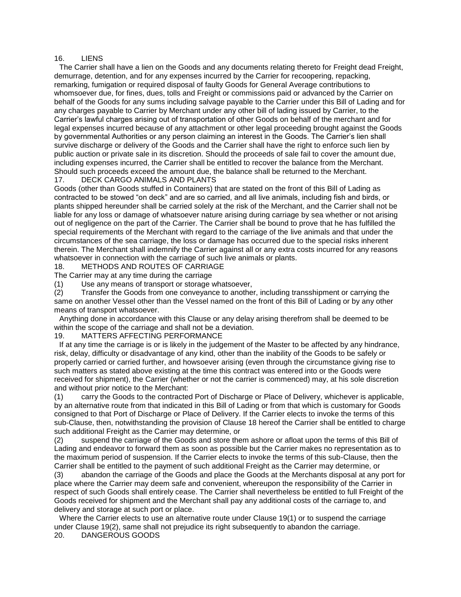#### 16. LIENS

The Carrier shall have a lien on the Goods and any documents relating thereto for Freight dead Freight, demurrage, detention, and for any expenses incurred by the Carrier for recoopering, repacking, remarking, fumigation or required disposal of faulty Goods for General Average contributions to whomsoever due, for fines, dues, tolls and Freight or commissions paid or advanced by the Carrier on behalf of the Goods for any sums including salvage payable to the Carrier under this Bill of Lading and for any charges payable to Carrier by Merchant under any other bill of lading issued by Carrier, to the Carrier's lawful charges arising out of transportation of other Goods on behalf of the merchant and for legal expenses incurred because of any attachment or other legal proceeding brought against the Goods by governmental Authorities or any person claiming an interest in the Goods. The Carrier's lien shall survive discharge or delivery of the Goods and the Carrier shall have the right to enforce such lien by public auction or private sale in its discretion. Should the proceeds of sale fail to cover the amount due, including expenses incurred, the Carrier shall be entitled to recover the balance from the Merchant. Should such proceeds exceed the amount due, the balance shall be returned to the Merchant.

#### 17. DECK CARGO ANIMALS AND PLANTS

Goods (other than Goods stuffed in Containers) that are stated on the front of this Bill of Lading as contracted to be stowed "on deck" and are so carried, and all live animals, including fish and birds, or plants shipped hereunder shall be carried solely at the risk of the Merchant, and the Carrier shall not be liable for any loss or damage of whatsoever nature arising during carriage by sea whether or not arising out of negligence on the part of the Carrier. The Carrier shall be bound to prove that he has fulfilled the special requirements of the Merchant with regard to the carriage of the live animals and that under the circumstances of the sea carriage, the loss or damage has occurred due to the special risks inherent therein. The Merchant shall indemnify the Carrier against all or any extra costs incurred for any reasons whatsoever in connection with the carriage of such live animals or plants.

# 18. METHODS AND ROUTES OF CARRIAGE

The Carrier may at any time during the carriage

(1) Use any means of transport or storage whatsoever,

(2) Transfer the Goods from one conveyance to another, including transshipment or carrying the same on another Vessel other than the Vessel named on the front of this Bill of Lading or by any other means of transport whatsoever.

Anything done in accordance with this Clause or any delay arising therefrom shall be deemed to be within the scope of the carriage and shall not be a deviation.

#### 19. MATTERS AFFECTING PERFORMANCE

If at any time the carriage is or is likely in the judgement of the Master to be affected by any hindrance, risk, delay, difficulty or disadvantage of any kind, other than the inability of the Goods to be safely or properly carried or carried further, and howsoever arising (even through the circumstance giving rise to such matters as stated above existing at the time this contract was entered into or the Goods were received for shipment), the Carrier (whether or not the carrier is commenced) may, at his sole discretion and without prior notice to the Merchant:

(1) carry the Goods to the contracted Port of Discharge or Place of Delivery, whichever is applicable, by an alternative route from that indicated in this Bill of Lading or from that which is customary for Goods consigned to that Port of Discharge or Place of Delivery. If the Carrier elects to invoke the terms of this sub-Clause, then, notwithstanding the provision of Clause 18 hereof the Carrier shall be entitled to charge such additional Freight as the Carrier may determine, or

(2) suspend the carriage of the Goods and store them ashore or afloat upon the terms of this Bill of Lading and endeavor to forward them as soon as possible but the Carrier makes no representation as to the maximum period of suspension. If the Carrier elects to invoke the terms of this sub-Clause, then the Carrier shall be entitled to the payment of such additional Freight as the Carrier may determine, or

(3) abandon the carriage of the Goods and place the Goods at the Merchants disposal at any port for place where the Carrier may deem safe and convenient, whereupon the responsibility of the Carrier in respect of such Goods shall entirely cease. The Carrier shall nevertheless be entitled to full Freight of the Goods received for shipment and the Merchant shall pay any additional costs of the carriage to, and delivery and storage at such port or place.

Where the Carrier elects to use an alternative route under Clause 19(1) or to suspend the carriage under Clause 19(2), same shall not prejudice its right subsequently to abandon the carriage. 20. DANGEROUS GOODS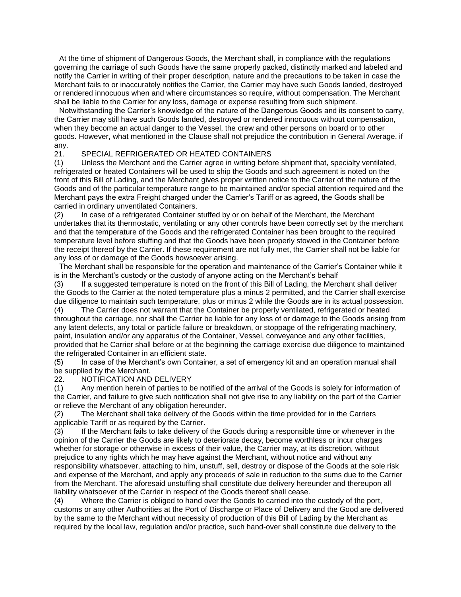At the time of shipment of Dangerous Goods, the Merchant shall, in compliance with the regulations governing the carriage of such Goods have the same properly packed, distinctly marked and labeled and notify the Carrier in writing of their proper description, nature and the precautions to be taken in case the Merchant fails to or inaccurately notifies the Carrier, the Carrier may have such Goods landed, destroyed or rendered innocuous when and where circumstances so require, without compensation. The Merchant shall be liable to the Carrier for any loss, damage or expense resulting from such shipment.

Notwithstanding the Carrier's knowledge of the nature of the Dangerous Goods and its consent to carry, the Carrier may still have such Goods landed, destroyed or rendered innocuous without compensation, when they become an actual danger to the Vessel, the crew and other persons on board or to other goods. However, what mentioned in the Clause shall not prejudice the contribution in General Average, if any.

## 21. SPECIAL REFRIGERATED OR HEATED CONTAINERS

(1) Unless the Merchant and the Carrier agree in writing before shipment that, specialty ventilated, refrigerated or heated Containers will be used to ship the Goods and such agreement is noted on the front of this Bill of Lading, and the Merchant gives proper written notice to the Carrier of the nature of the Goods and of the particular temperature range to be maintained and/or special attention required and the Merchant pays the extra Freight charged under the Carrier's Tariff or as agreed, the Goods shall be carried in ordinary unventilated Containers.

(2) In case of a refrigerated Container stuffed by or on behalf of the Merchant, the Merchant undertakes that its thermostatic, ventilating or any other controls have been correctly set by the merchant and that the temperature of the Goods and the refrigerated Container has been brought to the required temperature level before stuffing and that the Goods have been properly stowed in the Container before the receipt thereof by the Carrier. If these requirement are not fully met, the Carrier shall not be liable for any loss of or damage of the Goods howsoever arising.

The Merchant shall be responsible for the operation and maintenance of the Carrier's Container while it is in the Merchant's custody or the custody of anyone acting on the Merchant's behalf

(3) If a suggested temperature is noted on the front of this Bill of Lading, the Merchant shall deliver the Goods to the Carrier at the noted temperature plus a minus 2 permitted, and the Carrier shall exercise due diligence to maintain such temperature, plus or minus 2 while the Goods are in its actual possession.

(4) The Carrier does not warrant that the Container be properly ventilated, refrigerated or heated throughout the carriage, nor shall the Carrier be liable for any loss of or damage to the Goods arising from any latent defects, any total or particle failure or breakdown, or stoppage of the refrigerating machinery, paint, insulation and/or any apparatus of the Container, Vessel, conveyance and any other facilities, provided that he Carrier shall before or at the beginning the carriage exercise due diligence to maintained the refrigerated Container in an efficient state.

(5) In case of the Merchant's own Container, a set of emergency kit and an operation manual shall be supplied by the Merchant.

22. NOTIFICATION AND DELIVERY

(1) Any mention herein of parties to be notified of the arrival of the Goods is solely for information of the Carrier, and failure to give such notification shall not give rise to any liability on the part of the Carrier or relieve the Merchant of any obligation hereunder.

(2) The Merchant shall take delivery of the Goods within the time provided for in the Carriers applicable Tariff or as required by the Carrier.

(3) If the Merchant fails to take delivery of the Goods during a responsible time or whenever in the opinion of the Carrier the Goods are likely to deteriorate decay, become worthless or incur charges whether for storage or otherwise in excess of their value, the Carrier may, at its discretion, without prejudice to any rights which he may have against the Merchant, without notice and without any responsibility whatsoever, attaching to him, unstuff, sell, destroy or dispose of the Goods at the sole risk and expense of the Merchant, and apply any proceeds of sale in reduction to the sums due to the Carrier from the Merchant. The aforesaid unstuffing shall constitute due delivery hereunder and thereupon all liability whatsoever of the Carrier in respect of the Goods thereof shall cease.

(4) Where the Carrier is obliged to hand over the Goods to carried into the custody of the port, customs or any other Authorities at the Port of Discharge or Place of Delivery and the Good are delivered by the same to the Merchant without necessity of production of this Bill of Lading by the Merchant as required by the local law, regulation and/or practice, such hand-over shall constitute due delivery to the